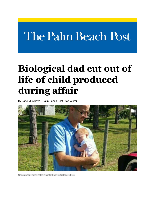# The Palm Beach Post

## **Biological dad cut out of life of child produced during affair**

By Jane Musgrave - Palm Beach Post Staff Writer



Christopher Farrell holds his infant son in October 2015.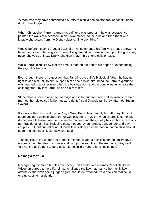'A man who may have contributed his DNA to a child has no statutory or constitutional right …' — Judge

When Christopher Farrell learned his girlfriend was pregnant, he was ecstatic. He painted the walls of a bedroom in his Loxahatchee house blue and filled them with lovable characters from the Disney classic, "The Lion King."

Weeks before his son's August 2015 birth, he summoned his family to a baby shower to have them celebrate his good fortune. His girlfriend, who was at the top of the guest list, never showed up. Inexplicably, she didn't return his phone calls or texts.

While Farrell didn't know it at the time, it marked the end of his hopes of experiencing the joys of fatherhood.

Even though there is no question that Farrell is the child's biological father, he has no right to see him, talk to him, support him or help raise him. Because Farrell's girlfriend was married to another man when the boy was born and the couple wants to raise the child together, by law Farrell has no claim to him.

"If the child is born in an intact marriage and if the husband and mother want to remain married the (biological) father has zero rights," said Orlando family law attorney Susan Savard.

It's well-settled law, said Elisha Roy, a West Palm Beach family law attorney. It might seem quaint to quibble about out-of-wedlock births in 2017, when divorce is common, 40 percent of children are born to single mothers and the country has embraced various non-traditional families, including those headed by unmarried, transgender and gay couples. But, antiquated or not, Florida law is steeped in the notion that no child should suffer the stigma of illegitimacy, she said.

"The big issue, the underlying theme in Florida, is about a child's right to legitimacy so no one should be able to come in and disrupt the sanctity of the marriage," Roy said. "It's not the dad's right to be a dad. It's the child's right to have legitimacy."

### **No magic formula**

Recognizing the steep hurdles she faced, Fort Lauderdale attorney Rebekah Brown-Wiseman agreed to help Farrell, 31, challenge the law that many other family law attorneys and even some judges agree should be tweaked. It's a decision that could end up costing her dearly.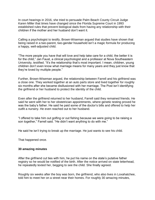In court hearings in 2016, she tried to persuade Palm Beach County Circuit Judge Karen Miller that times have changed since the Florida Supreme Court in 1993 established rules that prevent biological dads from having any relationship with their children if the mother and her husband don't want it.

Calling a psychologist to testify, Brown-Wiseman argued that studies have shown that being raised in a two-parent, two-gender household isn't a magic formula for producing a happy, well-adjusted child.

"The more people you have that will love and help take care for a child, the better it is for the child," Jan Faust, a clinical psychologist and a professor at Nova Southeastern University, testified. "It's the relationship that's most important. I mean, children, young children don't even know what marriage means for many years and they just know that they're loved by multiple people."

Further, Brown-Wiseman argued, the relationship between Farrell and his girlfriend was a close one. They worked together at an auto parts store and lived together for roughly six months after she became disillusioned with her marriage. The Post isn't identifying the girlfriend or her husband to protect the identity of the child.

Even after the girlfriend returned to her husband, Farrell said they remained friends. He said he went with her to her obstetrician appointments, where genetic testing proved he was the baby's father. He said he paid some of the doctor's bills and offered to help her outfit a nursery. He even reached out to her husband.

"I offered to take him out golfing or out fishing because we were going to be raising a son together," Farrell said. "He didn't want anything to do with me."

He said he isn't trying to break up the marriage. He just wants to see his child.

That happened once.

### **30 amazing minutes**

After the girlfriend cut ties with him, he put his name on the state's putative father registry so he would be notified of the birth. After the notice arrived on state letterhead, he repeatedly texted her, begging to see the child. She finally agreed.

Roughly six weeks after the boy was born, the girlfriend, who also lives in Loxahatchee, told him to meet her on a street near their homes. For roughly 30 amazing minutes,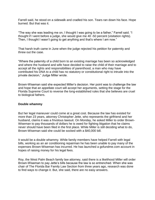Farrell said, he stood on a sidewalk and cradled his son. Tears ran down his face. Hope burned. But that was it.

"The way she was leading me on, I thought I was going to be a father," Farrell said. "I thought if I went before a judge, she would give me 40 -50 percent (visitation rights). Then, I thought I wasn't going to get anything and that's where I am now."

That harsh truth came in June when the judge rejected his petition for paternity and threw out the case.

"Where the paternity of a child born to an existing marriage has been so acknowledged and where the husband and wife have decided to raise the child of their marriage and to accept all the rights and responsibilities of parenthood, a man who may have contributed his DNA to a child has no statutory or constitutional right to intrude into the private decision," Judge Miller wrote.

Brown-Wiseman said she expected Miller's decision. Her point was to challenge the law and hope that an appellate court will accept her arguments, setting the stage for the Florida Supreme Court to reverse the long-established rules that she believes are cruel to biological fathers.

### **Double whammy**

But her legal maneuver could come at a great cost. Because the law has existed for more than 23 years, attorney Christopher Jette, who represents the girlfriend and her husband, claims it was a frivolous lawsuit. On Monday, he asked Miller to order Brown-Wiseman to pay thousands of dollars he is owed for fighting litigation that he claims never should have been filed in the first place. While Miller is still deciding what to do, Brown-Wiseman said she could be socked with a \$40,000 bill.

It would be a double whammy. While family members have helped Farrell with legal bills, working as an air conditioning repairman he has been unable to pay many of the expenses Brown-Wiseman has incurred. He has launched a gofundme.com account in hopes of raising money for his legal fees.

Roy, the West Palm Beach family law attorney, said there is a likelihood Miller will order Brown-Wiseman to pay Jette's bills because the law is so entrenched. When she was chair of The Florida Bar Family Law Section from three years ago, research was done to find ways to change it. But, she said, there are no easy answers.